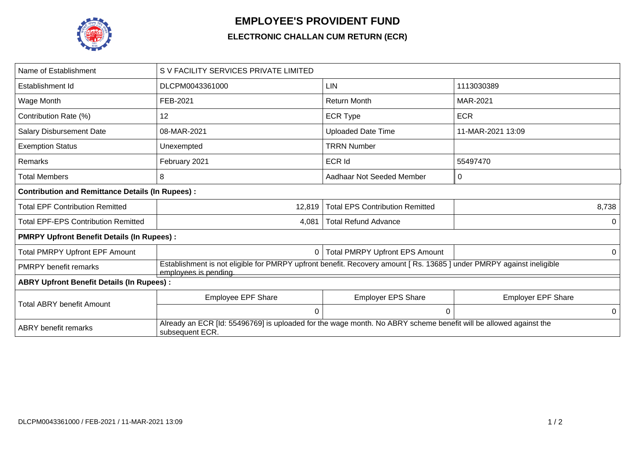

## **EMPLOYEE'S PROVIDENT FUND**

## **ELECTRONIC CHALLAN CUM RETURN (ECR)**

| Name of Establishment                                   | S V FACILITY SERVICES PRIVATE LIMITED                                                                                                        |                                        |                           |  |  |  |  |
|---------------------------------------------------------|----------------------------------------------------------------------------------------------------------------------------------------------|----------------------------------------|---------------------------|--|--|--|--|
| Establishment Id                                        | DLCPM0043361000                                                                                                                              | <b>LIN</b>                             | 1113030389                |  |  |  |  |
| Wage Month                                              | FEB-2021                                                                                                                                     | <b>Return Month</b>                    | MAR-2021                  |  |  |  |  |
| Contribution Rate (%)                                   | 12                                                                                                                                           | <b>ECR Type</b>                        | <b>ECR</b>                |  |  |  |  |
| <b>Salary Disbursement Date</b>                         | 08-MAR-2021                                                                                                                                  | <b>Uploaded Date Time</b>              | 11-MAR-2021 13:09         |  |  |  |  |
| <b>Exemption Status</b>                                 | <b>TRRN Number</b><br>Unexempted                                                                                                             |                                        |                           |  |  |  |  |
| Remarks                                                 | February 2021                                                                                                                                | <b>ECR Id</b>                          | 55497470                  |  |  |  |  |
| Total Members                                           | 8                                                                                                                                            | Aadhaar Not Seeded Member              | 0                         |  |  |  |  |
| <b>Contribution and Remittance Details (In Rupees):</b> |                                                                                                                                              |                                        |                           |  |  |  |  |
| <b>Total EPF Contribution Remitted</b>                  | 12,819                                                                                                                                       | <b>Total EPS Contribution Remitted</b> | 8,738                     |  |  |  |  |
| <b>Total EPF-EPS Contribution Remitted</b>              | 4,081                                                                                                                                        | <b>Total Refund Advance</b>            | $\Omega$                  |  |  |  |  |
| <b>PMRPY Upfront Benefit Details (In Rupees):</b>       |                                                                                                                                              |                                        |                           |  |  |  |  |
| <b>Total PMRPY Upfront EPF Amount</b>                   | 0                                                                                                                                            | 0                                      |                           |  |  |  |  |
| <b>PMRPY</b> benefit remarks                            | Establishment is not eligible for PMRPY upfront benefit. Recovery amount [Rs. 13685] under PMRPY against ineligible<br>employees is pending. |                                        |                           |  |  |  |  |
| <b>ABRY Upfront Benefit Details (In Rupees):</b>        |                                                                                                                                              |                                        |                           |  |  |  |  |
| <b>Total ABRY benefit Amount</b>                        | <b>Employee EPF Share</b>                                                                                                                    | <b>Employer EPS Share</b>              | <b>Employer EPF Share</b> |  |  |  |  |
|                                                         | $\Omega$                                                                                                                                     | $\Omega$                               | 0                         |  |  |  |  |
| <b>ABRY</b> benefit remarks                             | Already an ECR [Id: 55496769] is uploaded for the wage month. No ABRY scheme benefit will be allowed against the<br>subsequent ECR.          |                                        |                           |  |  |  |  |